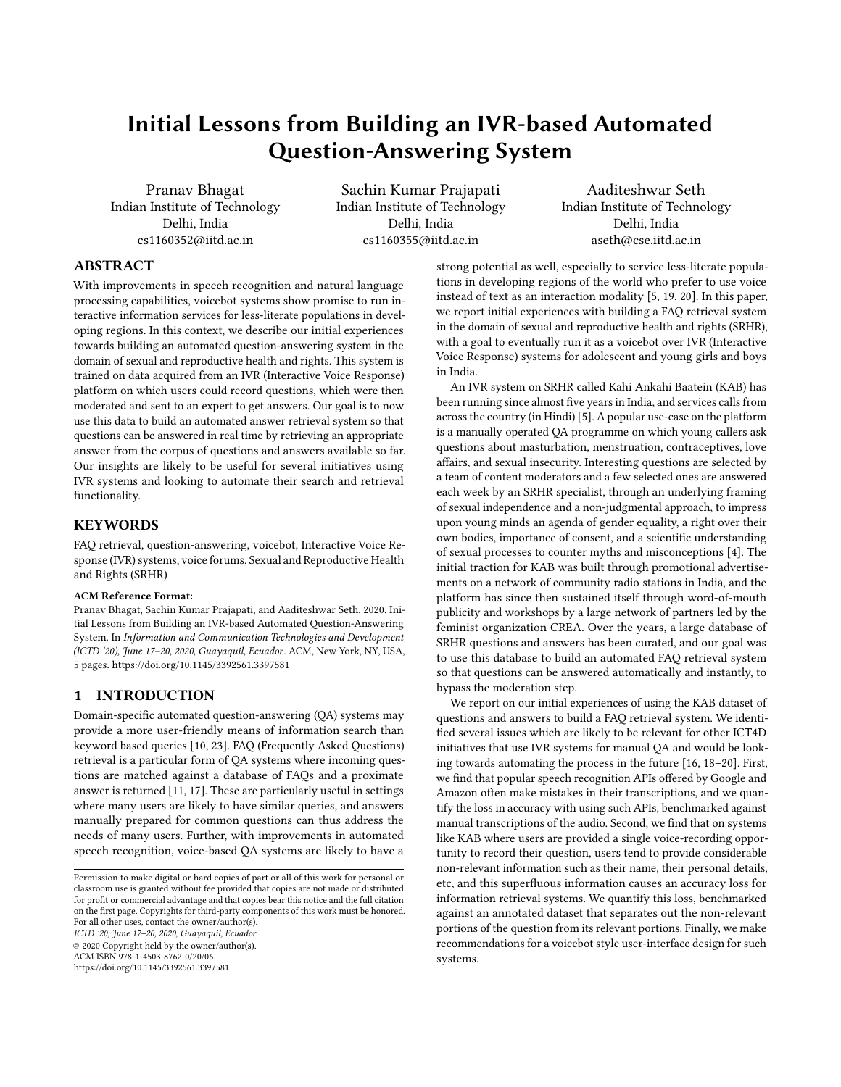# Initial Lessons from Building an IVR-based Automated Question-Answering System

Pranav Bhagat Indian Institute of Technology Delhi, India cs1160352@iitd.ac.in

Sachin Kumar Prajapati Indian Institute of Technology Delhi, India cs1160355@iitd.ac.in

Aaditeshwar Seth Indian Institute of Technology Delhi, India aseth@cse.iitd.ac.in

# ABSTRACT

With improvements in speech recognition and natural language processing capabilities, voicebot systems show promise to run interactive information services for less-literate populations in developing regions. In this context, we describe our initial experiences towards building an automated question-answering system in the domain of sexual and reproductive health and rights. This system is trained on data acquired from an IVR (Interactive Voice Response) platform on which users could record questions, which were then moderated and sent to an expert to get answers. Our goal is to now use this data to build an automated answer retrieval system so that questions can be answered in real time by retrieving an appropriate answer from the corpus of questions and answers available so far. Our insights are likely to be useful for several initiatives using IVR systems and looking to automate their search and retrieval functionality.

### **KEYWORDS**

FAQ retrieval, question-answering, voicebot, Interactive Voice Response (IVR) systems, voice forums, Sexual and Reproductive Health and Rights (SRHR)

#### ACM Reference Format:

Pranav Bhagat, Sachin Kumar Prajapati, and Aaditeshwar Seth. 2020. Initial Lessons from Building an IVR-based Automated Question-Answering System. In Information and Communication Technologies and Development (ICTD '20), June 17–20, 2020, Guayaquil, Ecuador. ACM, New York, NY, USA, [5](#page-4-0) pages.<https://doi.org/10.1145/3392561.3397581>

## 1 INTRODUCTION

Domain-specific automated question-answering (QA) systems may provide a more user-friendly means of information search than keyword based queries [\[10,](#page-4-1) [23\]](#page-4-2). FAQ (Frequently Asked Questions) retrieval is a particular form of QA systems where incoming questions are matched against a database of FAQs and a proximate answer is returned [\[11,](#page-4-3) [17\]](#page-4-4). These are particularly useful in settings where many users are likely to have similar queries, and answers manually prepared for common questions can thus address the needs of many users. Further, with improvements in automated speech recognition, voice-based QA systems are likely to have a

ICTD '20, June 17–20, 2020, Guayaquil, Ecuador © 2020 Copyright held by the owner/author(s).

ACM ISBN 978-1-4503-8762-0/20/06.

<https://doi.org/10.1145/3392561.3397581>

strong potential as well, especially to service less-literate populations in developing regions of the world who prefer to use voice instead of text as an interaction modality [\[5,](#page-4-5) [19,](#page-4-6) [20\]](#page-4-7). In this paper, we report initial experiences with building a FAQ retrieval system in the domain of sexual and reproductive health and rights (SRHR), with a goal to eventually run it as a voicebot over IVR (Interactive Voice Response) systems for adolescent and young girls and boys in India.

An IVR system on SRHR called Kahi Ankahi Baatein (KAB) has been running since almost five years in India, and services calls from across the country (in Hindi) [\[5\]](#page-4-5). A popular use-case on the platform is a manually operated QA programme on which young callers ask questions about masturbation, menstruation, contraceptives, love affairs, and sexual insecurity. Interesting questions are selected by a team of content moderators and a few selected ones are answered each week by an SRHR specialist, through an underlying framing of sexual independence and a non-judgmental approach, to impress upon young minds an agenda of gender equality, a right over their own bodies, importance of consent, and a scientific understanding of sexual processes to counter myths and misconceptions [\[4\]](#page-4-8). The initial traction for KAB was built through promotional advertisements on a network of community radio stations in India, and the platform has since then sustained itself through word-of-mouth publicity and workshops by a large network of partners led by the feminist organization CREA. Over the years, a large database of SRHR questions and answers has been curated, and our goal was to use this database to build an automated FAQ retrieval system so that questions can be answered automatically and instantly, to bypass the moderation step.

We report on our initial experiences of using the KAB dataset of questions and answers to build a FAQ retrieval system. We identified several issues which are likely to be relevant for other ICT4D initiatives that use IVR systems for manual QA and would be looking towards automating the process in the future [\[16,](#page-4-9) [18](#page-4-10)[–20\]](#page-4-7). First, we find that popular speech recognition APIs offered by Google and Amazon often make mistakes in their transcriptions, and we quantify the loss in accuracy with using such APIs, benchmarked against manual transcriptions of the audio. Second, we find that on systems like KAB where users are provided a single voice-recording opportunity to record their question, users tend to provide considerable non-relevant information such as their name, their personal details, etc, and this superfluous information causes an accuracy loss for information retrieval systems. We quantify this loss, benchmarked against an annotated dataset that separates out the non-relevant portions of the question from its relevant portions. Finally, we make recommendations for a voicebot style user-interface design for such systems.

Permission to make digital or hard copies of part or all of this work for personal or classroom use is granted without fee provided that copies are not made or distributed for profit or commercial advantage and that copies bear this notice and the full citation on the first page. Copyrights for third-party components of this work must be honored. For all other uses, contact the owner/author(s).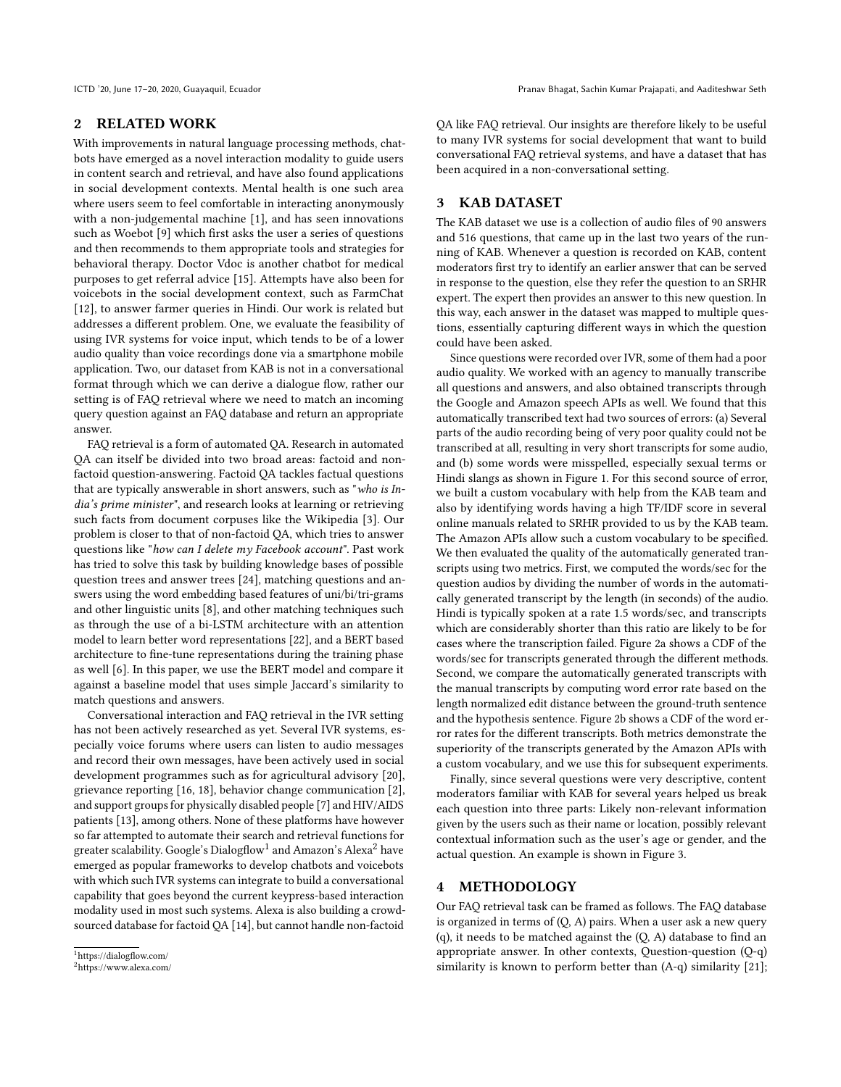## 2 RELATED WORK

With improvements in natural language processing methods, chatbots have emerged as a novel interaction modality to guide users in content search and retrieval, and have also found applications in social development contexts. Mental health is one such area where users seem to feel comfortable in interacting anonymously with a non-judgemental machine [\[1\]](#page-3-0), and has seen innovations such as Woebot [\[9\]](#page-4-11) which first asks the user a series of questions and then recommends to them appropriate tools and strategies for behavioral therapy. Doctor Vdoc is another chatbot for medical purposes to get referral advice [\[15\]](#page-4-12). Attempts have also been for voicebots in the social development context, such as FarmChat [\[12\]](#page-4-13), to answer farmer queries in Hindi. Our work is related but addresses a different problem. One, we evaluate the feasibility of using IVR systems for voice input, which tends to be of a lower audio quality than voice recordings done via a smartphone mobile application. Two, our dataset from KAB is not in a conversational format through which we can derive a dialogue flow, rather our setting is of FAQ retrieval where we need to match an incoming query question against an FAQ database and return an appropriate answer.

FAQ retrieval is a form of automated QA. Research in automated QA can itself be divided into two broad areas: factoid and nonfactoid question-answering. Factoid QA tackles factual questions that are typically answerable in short answers, such as "who is India's prime minister", and research looks at learning or retrieving such facts from document corpuses like the Wikipedia [\[3\]](#page-4-14). Our problem is closer to that of non-factoid QA, which tries to answer questions like "how can I delete my Facebook account". Past work has tried to solve this task by building knowledge bases of possible question trees and answer trees [\[24\]](#page-4-15), matching questions and answers using the word embedding based features of uni/bi/tri-grams and other linguistic units [\[8\]](#page-4-16), and other matching techniques such as through the use of a bi-LSTM architecture with an attention model to learn better word representations [\[22\]](#page-4-17), and a BERT based architecture to fine-tune representations during the training phase as well [\[6\]](#page-4-18). In this paper, we use the BERT model and compare it against a baseline model that uses simple Jaccard's similarity to match questions and answers.

Conversational interaction and FAQ retrieval in the IVR setting has not been actively researched as yet. Several IVR systems, especially voice forums where users can listen to audio messages and record their own messages, have been actively used in social development programmes such as for agricultural advisory [\[20\]](#page-4-7), grievance reporting [\[16,](#page-4-9) [18\]](#page-4-10), behavior change communication [\[2\]](#page-4-19), and support groups for physically disabled people [\[7\]](#page-4-20) and HIV/AIDS patients [\[13\]](#page-4-21), among others. None of these platforms have however so far attempted to automate their search and retrieval functions for greater scalability. Google's Dialogflow $^1$  $^1$  and Amazon's Alexa $^2$  $^2$  have emerged as popular frameworks to develop chatbots and voicebots with which such IVR systems can integrate to build a conversational capability that goes beyond the current keypress-based interaction modality used in most such systems. Alexa is also building a crowdsourced database for factoid QA [\[14\]](#page-4-22), but cannot handle non-factoid

QA like FAQ retrieval. Our insights are therefore likely to be useful to many IVR systems for social development that want to build conversational FAQ retrieval systems, and have a dataset that has been acquired in a non-conversational setting.

# 3 KAB DATASET

The KAB dataset we use is a collection of audio files of 90 answers and 516 questions, that came up in the last two years of the running of KAB. Whenever a question is recorded on KAB, content moderators first try to identify an earlier answer that can be served in response to the question, else they refer the question to an SRHR expert. The expert then provides an answer to this new question. In this way, each answer in the dataset was mapped to multiple questions, essentially capturing different ways in which the question could have been asked.

Since questions were recorded over IVR, some of them had a poor audio quality. We worked with an agency to manually transcribe all questions and answers, and also obtained transcripts through the Google and Amazon speech APIs as well. We found that this automatically transcribed text had two sources of errors: (a) Several parts of the audio recording being of very poor quality could not be transcribed at all, resulting in very short transcripts for some audio, and (b) some words were misspelled, especially sexual terms or Hindi slangs as shown in Figure [1.](#page-2-0) For this second source of error, we built a custom vocabulary with help from the KAB team and also by identifying words having a high TF/IDF score in several online manuals related to SRHR provided to us by the KAB team. The Amazon APIs allow such a custom vocabulary to be specified. We then evaluated the quality of the automatically generated transcripts using two metrics. First, we computed the words/sec for the question audios by dividing the number of words in the automatically generated transcript by the length (in seconds) of the audio. Hindi is typically spoken at a rate 1.5 words/sec, and transcripts which are considerably shorter than this ratio are likely to be for cases where the transcription failed. Figure [2a](#page-2-1) shows a CDF of the words/sec for transcripts generated through the different methods. Second, we compare the automatically generated transcripts with the manual transcripts by computing word error rate based on the length normalized edit distance between the ground-truth sentence and the hypothesis sentence. Figure [2b](#page-2-1) shows a CDF of the word error rates for the different transcripts. Both metrics demonstrate the superiority of the transcripts generated by the Amazon APIs with a custom vocabulary, and we use this for subsequent experiments.

Finally, since several questions were very descriptive, content moderators familiar with KAB for several years helped us break each question into three parts: Likely non-relevant information given by the users such as their name or location, possibly relevant contextual information such as the user's age or gender, and the actual question. An example is shown in Figure [3.](#page-2-2)

## 4 METHODOLOGY

Our FAQ retrieval task can be framed as follows. The FAQ database is organized in terms of (Q, A) pairs. When a user ask a new query (q), it needs to be matched against the (Q, A) database to find an appropriate answer. In other contexts, Question-question (Q-q) similarity is known to perform better than (A-q) similarity [\[21\]](#page-4-23);

<span id="page-1-0"></span><sup>1</sup>https://dialogflow.com/

<span id="page-1-1"></span><sup>2</sup>https://www.alexa.com/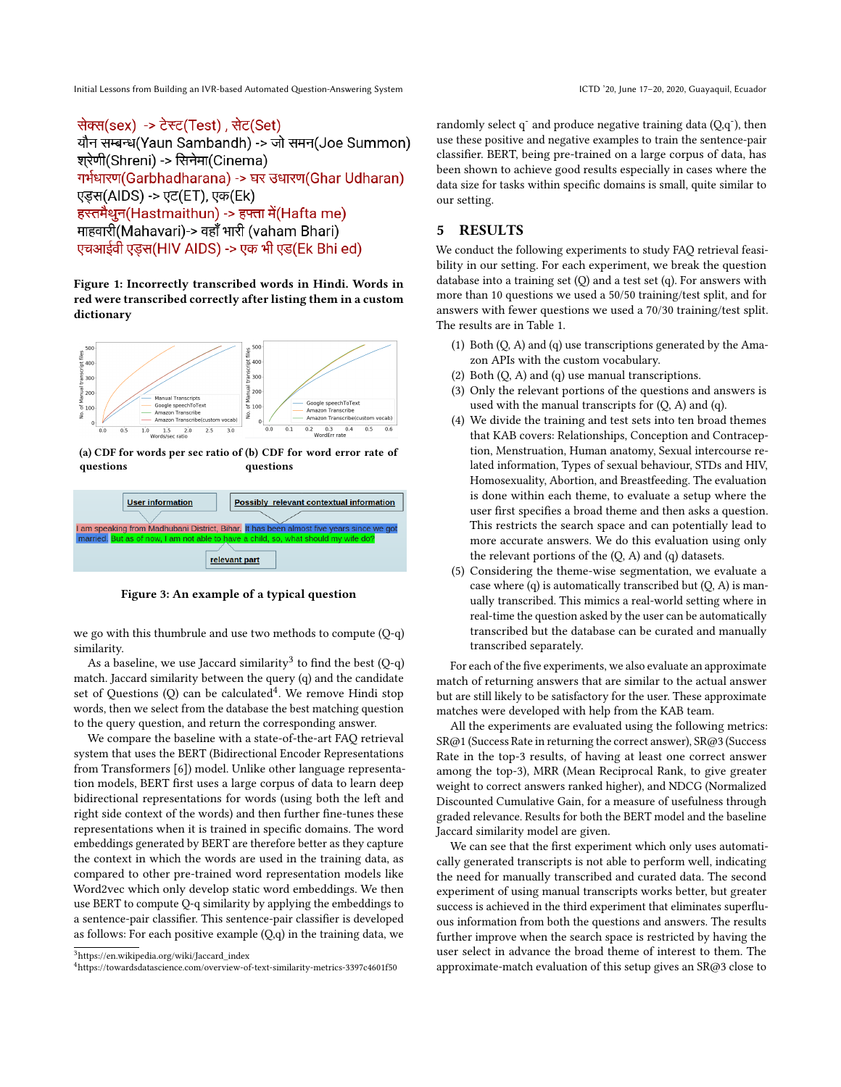Initial Lessons from Building an IVR-based Automated Question-Answering System ICTD '20, June 17-20, 2020, Guayaquil, Ecuador

<span id="page-2-0"></span>सेक्स(sex) -> टेस्ट(Test), सेट(Set) यौन सम्बन्ध(Yaun Sambandh) -> जो समन(Joe Summon) शरेणी(Shreni) -> सिनेमा(Cinema) गर्भधारण(Garbhadharana) -> घर उधारण(Ghar Udharan) एड़स(AIDS) -> एट(ET), एक(Ek) हस्तमैथन(Hastmaithun) -> हफ्ता में(Hafta me) माहवारी(Mahavari)-> वहाँ भारी (vaham Bhari) एचआईवी एड़स(HIV AIDS) -> एक भी एड(Ek Bhi ed)

Figure 1: Incorrectly transcribed words in Hindi. Words in red were transcribed correctly after listing them in a custom dictionary

<span id="page-2-1"></span>

(a) CDF for words per sec ratio of (b) CDF for word error rate of questions questions

<span id="page-2-2"></span>

Figure 3: An example of a typical question

we go with this thumbrule and use two methods to compute (Q-q) similarity.

As a baseline, we use Jaccard similarity $^3$  $^3$  to find the best (Q-q) match. Jaccard similarity between the query (q) and the candidate set of Questions (Q) can be calculated<sup>[4](#page-2-4)</sup>. We remove Hindi stop words, then we select from the database the best matching question to the query question, and return the corresponding answer.

We compare the baseline with a state-of-the-art FAQ retrieval system that uses the BERT (Bidirectional Encoder Representations from Transformers [\[6\]](#page-4-18)) model. Unlike other language representation models, BERT first uses a large corpus of data to learn deep bidirectional representations for words (using both the left and right side context of the words) and then further fine-tunes these representations when it is trained in specific domains. The word embeddings generated by BERT are therefore better as they capture the context in which the words are used in the training data, as compared to other pre-trained word representation models like Word2vec which only develop static word embeddings. We then use BERT to compute Q-q similarity by applying the embeddings to a sentence-pair classifier. This sentence-pair classifier is developed as follows: For each positive example  $(Q,q)$  in the training data, we

randomly select  $q^2$  and produce negative training data  $(Q,q^2)$ , then use these positive and negative examples to train the sentence-pair classifier. BERT, being pre-trained on a large corpus of data, has been shown to achieve good results especially in cases where the data size for tasks within specific domains is small, quite similar to our setting.

## 5 RESULTS

We conduct the following experiments to study FAQ retrieval feasibility in our setting. For each experiment, we break the question database into a training set (Q) and a test set (q). For answers with more than 10 questions we used a 50/50 training/test split, and for answers with fewer questions we used a 70/30 training/test split. The results are in Table [1.](#page-3-1)

- (1) Both (Q, A) and (q) use transcriptions generated by the Amazon APIs with the custom vocabulary.
- (2) Both  $(Q, A)$  and  $(q)$  use manual transcriptions.
- (3) Only the relevant portions of the questions and answers is used with the manual transcripts for  $(Q, A)$  and  $(q)$ .
- (4) We divide the training and test sets into ten broad themes that KAB covers: Relationships, Conception and Contraception, Menstruation, Human anatomy, Sexual intercourse related information, Types of sexual behaviour, STDs and HIV, Homosexuality, Abortion, and Breastfeeding. The evaluation is done within each theme, to evaluate a setup where the user first specifies a broad theme and then asks a question. This restricts the search space and can potentially lead to more accurate answers. We do this evaluation using only the relevant portions of the  $(Q, A)$  and  $(q)$  datasets.
- (5) Considering the theme-wise segmentation, we evaluate a case where  $(q)$  is automatically transcribed but  $(Q, A)$  is manually transcribed. This mimics a real-world setting where in real-time the question asked by the user can be automatically transcribed but the database can be curated and manually transcribed separately.

For each of the five experiments, we also evaluate an approximate match of returning answers that are similar to the actual answer but are still likely to be satisfactory for the user. These approximate matches were developed with help from the KAB team.

All the experiments are evaluated using the following metrics: SR@1 (Success Rate in returning the correct answer), SR@3 (Success Rate in the top-3 results, of having at least one correct answer among the top-3), MRR (Mean Reciprocal Rank, to give greater weight to correct answers ranked higher), and NDCG (Normalized Discounted Cumulative Gain, for a measure of usefulness through graded relevance. Results for both the BERT model and the baseline Jaccard similarity model are given.

We can see that the first experiment which only uses automatically generated transcripts is not able to perform well, indicating the need for manually transcribed and curated data. The second experiment of using manual transcripts works better, but greater success is achieved in the third experiment that eliminates superfluous information from both the questions and answers. The results further improve when the search space is restricted by having the user select in advance the broad theme of interest to them. The approximate-match evaluation of this setup gives an SR@3 close to

<span id="page-2-3"></span><sup>3</sup>https://en.wikipedia.org/wiki/Jaccard\_index

<span id="page-2-4"></span><sup>4</sup>https://towardsdatascience.com/overview-of-text-similarity-metrics-3397c4601f50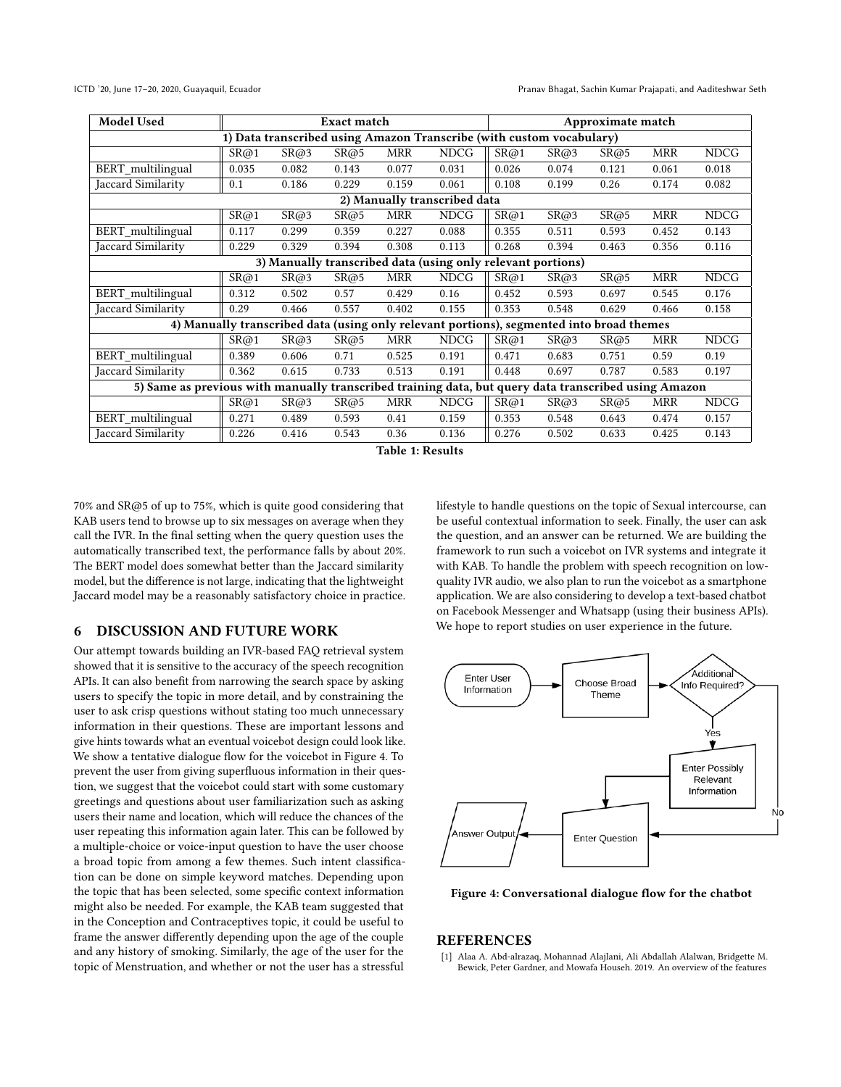<span id="page-3-1"></span>

| <b>Model Used</b>                                                                                    | <b>Exact match</b> |       |       |            |             | Approximate match |       |       |            |             |
|------------------------------------------------------------------------------------------------------|--------------------|-------|-------|------------|-------------|-------------------|-------|-------|------------|-------------|
| 1) Data transcribed using Amazon Transcribe (with custom vocabulary)                                 |                    |       |       |            |             |                   |       |       |            |             |
|                                                                                                      | SR@1               | SR@3  | SR@5  | <b>MRR</b> | <b>NDCG</b> | SR@1              | SR@3  | SR@5  | MRR        | <b>NDCG</b> |
| BERT_multilingual                                                                                    | 0.035              | 0.082 | 0.143 | 0.077      | 0.031       | 0.026             | 0.074 | 0.121 | 0.061      | 0.018       |
| Jaccard Similarity                                                                                   | 0.1                | 0.186 | 0.229 | 0.159      | 0.061       | 0.108             | 0.199 | 0.26  | 0.174      | 0.082       |
| 2) Manually transcribed data                                                                         |                    |       |       |            |             |                   |       |       |            |             |
|                                                                                                      | SR@1               | SR@3  | SR@5  | <b>MRR</b> | <b>NDCG</b> | SR@1              | SR@3  | SR@5  | MRR        | <b>NDCG</b> |
| BERT_multilingual                                                                                    | 0.117              | 0.299 | 0.359 | 0.227      | 0.088       | 0.355             | 0.511 | 0.593 | 0.452      | 0.143       |
| Jaccard Similarity                                                                                   | 0.229              | 0.329 | 0.394 | 0.308      | 0.113       | 0.268             | 0.394 | 0.463 | 0.356      | 0.116       |
| 3) Manually transcribed data (using only relevant portions)                                          |                    |       |       |            |             |                   |       |       |            |             |
|                                                                                                      | SR@1               | SR@3  | SR@5  | <b>MRR</b> | <b>NDCG</b> | SR@1              | SR@3  | SR@5  | <b>MRR</b> | <b>NDCG</b> |
| BERT_multilingual                                                                                    | 0.312              | 0.502 | 0.57  | 0.429      | 0.16        | 0.452             | 0.593 | 0.697 | 0.545      | 0.176       |
| Jaccard Similarity                                                                                   | 0.29               | 0.466 | 0.557 | 0.402      | 0.155       | 0.353             | 0.548 | 0.629 | 0.466      | 0.158       |
| 4) Manually transcribed data (using only relevant portions), segmented into broad themes             |                    |       |       |            |             |                   |       |       |            |             |
|                                                                                                      | SR@1               | SR@3  | SR@5  | <b>MRR</b> | <b>NDCG</b> | SR@1              | SR@3  | SR@5  | MRR        | <b>NDCG</b> |
| BERT_multilingual                                                                                    | 0.389              | 0.606 | 0.71  | 0.525      | 0.191       | 0.471             | 0.683 | 0.751 | 0.59       | 0.19        |
| Jaccard Similarity                                                                                   | 0.362              | 0.615 | 0.733 | 0.513      | 0.191       | 0.448             | 0.697 | 0.787 | 0.583      | 0.197       |
| 5) Same as previous with manually transcribed training data, but query data transcribed using Amazon |                    |       |       |            |             |                   |       |       |            |             |
|                                                                                                      | SR@1               | SR@3  | SR@5  | <b>MRR</b> | <b>NDCG</b> | SR@1              | SR@3  | SR@5  | <b>MRR</b> | <b>NDCG</b> |
| BERT_multilingual                                                                                    | 0.271              | 0.489 | 0.593 | 0.41       | 0.159       | 0.353             | 0.548 | 0.643 | 0.474      | 0.157       |
| Jaccard Similarity                                                                                   | 0.226              | 0.416 | 0.543 | 0.36       | 0.136       | 0.276             | 0.502 | 0.633 | 0.425      | 0.143       |



70% and SR@5 of up to 75%, which is quite good considering that KAB users tend to browse up to six messages on average when they call the IVR. In the final setting when the query question uses the automatically transcribed text, the performance falls by about 20%. The BERT model does somewhat better than the Jaccard similarity model, but the difference is not large, indicating that the lightweight Jaccard model may be a reasonably satisfactory choice in practice.

## 6 DISCUSSION AND FUTURE WORK

Our attempt towards building an IVR-based FAQ retrieval system showed that it is sensitive to the accuracy of the speech recognition APIs. It can also benefit from narrowing the search space by asking users to specify the topic in more detail, and by constraining the user to ask crisp questions without stating too much unnecessary information in their questions. These are important lessons and give hints towards what an eventual voicebot design could look like. We show a tentative dialogue flow for the voicebot in Figure [4.](#page-3-2) To prevent the user from giving superfluous information in their question, we suggest that the voicebot could start with some customary greetings and questions about user familiarization such as asking users their name and location, which will reduce the chances of the user repeating this information again later. This can be followed by a multiple-choice or voice-input question to have the user choose a broad topic from among a few themes. Such intent classification can be done on simple keyword matches. Depending upon the topic that has been selected, some specific context information might also be needed. For example, the KAB team suggested that in the Conception and Contraceptives topic, it could be useful to frame the answer differently depending upon the age of the couple and any history of smoking. Similarly, the age of the user for the topic of Menstruation, and whether or not the user has a stressful

lifestyle to handle questions on the topic of Sexual intercourse, can be useful contextual information to seek. Finally, the user can ask the question, and an answer can be returned. We are building the framework to run such a voicebot on IVR systems and integrate it with KAB. To handle the problem with speech recognition on lowquality IVR audio, we also plan to run the voicebot as a smartphone application. We are also considering to develop a text-based chatbot on Facebook Messenger and Whatsapp (using their business APIs). We hope to report studies on user experience in the future.

<span id="page-3-2"></span>

Figure 4: Conversational dialogue flow for the chatbot

## **REFERENCES**

<span id="page-3-0"></span>[1] Alaa A. Abd-alrazaq, Mohannad Alajlani, Ali Abdallah Alalwan, Bridgette M. Bewick, Peter Gardner, and Mowafa Househ. 2019. An overview of the features